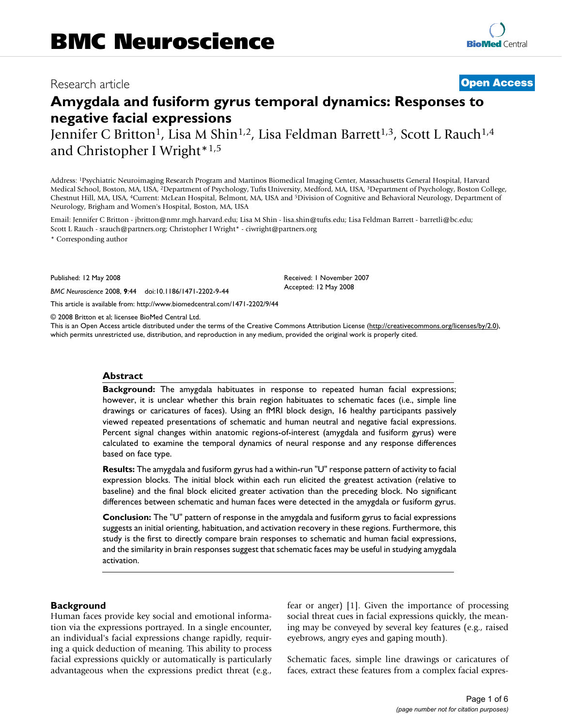## Research article **[Open Access](http://www.biomedcentral.com/info/about/charter/)**

# **Amygdala and fusiform gyrus temporal dynamics: Responses to negative facial expressions**

Jennifer C Britton<sup>1</sup>, Lisa M Shin<sup>1,2</sup>, Lisa Feldman Barrett<sup>1,3</sup>, Scott L Rauch<sup>1,4</sup> and Christopher I Wright\*1,5

Address: 1Psychiatric Neuroimaging Research Program and Martinos Biomedical Imaging Center, Massachusetts General Hospital, Harvard Medical School, Boston, MA, USA, 2Department of Psychology, Tufts University, Medford, MA, USA, 3Department of Psychology, Boston College, Chestnut Hill, MA, USA, 4Current: McLean Hospital, Belmont, MA, USA and 5Division of Cognitive and Behavioral Neurology, Department of Neurology, Brigham and Women's Hospital, Boston, MA, USA

Email: Jennifer C Britton - jbritton@nmr.mgh.harvard.edu; Lisa M Shin - lisa.shin@tufts.edu; Lisa Feldman Barrett - barretli@bc.edu; Scott L Rauch - srauch@partners.org; Christopher I Wright\* - ciwright@partners.org

\* Corresponding author

Published: 12 May 2008

*BMC Neuroscience* 2008, **9**:44 doi:10.1186/1471-2202-9-44

[This article is available from: http://www.biomedcentral.com/1471-2202/9/44](http://www.biomedcentral.com/1471-2202/9/44)

© 2008 Britton et al; licensee BioMed Central Ltd.

This is an Open Access article distributed under the terms of the Creative Commons Attribution License [\(http://creativecommons.org/licenses/by/2.0\)](http://creativecommons.org/licenses/by/2.0), which permits unrestricted use, distribution, and reproduction in any medium, provided the original work is properly cited.

Received: 1 November 2007 Accepted: 12 May 2008

#### **Abstract**

**Background:** The amygdala habituates in response to repeated human facial expressions; however, it is unclear whether this brain region habituates to schematic faces (i.e., simple line drawings or caricatures of faces). Using an fMRI block design, 16 healthy participants passively viewed repeated presentations of schematic and human neutral and negative facial expressions. Percent signal changes within anatomic regions-of-interest (amygdala and fusiform gyrus) were calculated to examine the temporal dynamics of neural response and any response differences based on face type.

**Results:** The amygdala and fusiform gyrus had a within-run "U" response pattern of activity to facial expression blocks. The initial block within each run elicited the greatest activation (relative to baseline) and the final block elicited greater activation than the preceding block. No significant differences between schematic and human faces were detected in the amygdala or fusiform gyrus.

**Conclusion:** The "U" pattern of response in the amygdala and fusiform gyrus to facial expressions suggests an initial orienting, habituation, and activation recovery in these regions. Furthermore, this study is the first to directly compare brain responses to schematic and human facial expressions, and the similarity in brain responses suggest that schematic faces may be useful in studying amygdala activation.

#### **Background**

Human faces provide key social and emotional information via the expressions portrayed. In a single encounter, an individual's facial expressions change rapidly, requiring a quick deduction of meaning. This ability to process facial expressions quickly or automatically is particularly advantageous when the expressions predict threat (e.g., fear or anger) [1]. Given the importance of processing social threat cues in facial expressions quickly, the meaning may be conveyed by several key features (e.g., raised eyebrows, angry eyes and gaping mouth).

Schematic faces, simple line drawings or caricatures of faces, extract these features from a complex facial expres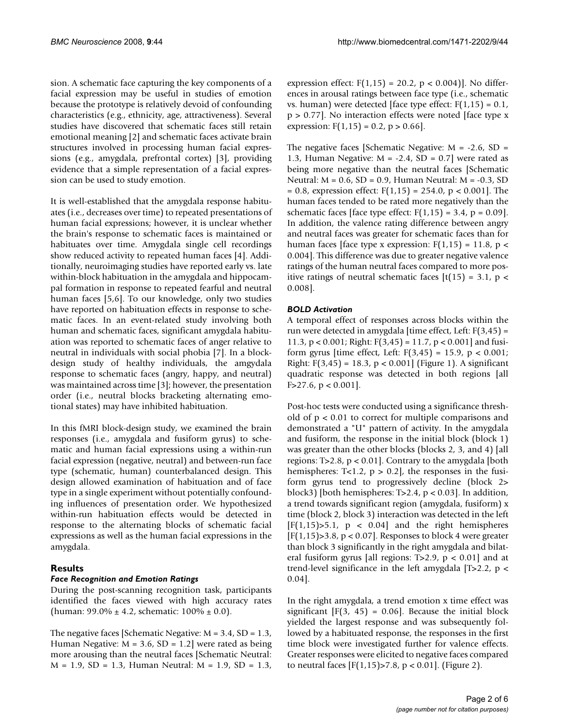sion. A schematic face capturing the key components of a facial expression may be useful in studies of emotion because the prototype is relatively devoid of confounding characteristics (e.g., ethnicity, age, attractiveness). Several studies have discovered that schematic faces still retain emotional meaning [2] and schematic faces activate brain structures involved in processing human facial expressions (e.g., amygdala, prefrontal cortex) [3], providing evidence that a simple representation of a facial expression can be used to study emotion.

It is well-established that the amygdala response habituates (i.e., decreases over time) to repeated presentations of human facial expressions; however, it is unclear whether the brain's response to schematic faces is maintained or habituates over time. Amygdala single cell recordings show reduced activity to repeated human faces [4]. Additionally, neuroimaging studies have reported early vs. late within-block habituation in the amygdala and hippocampal formation in response to repeated fearful and neutral human faces [5,6]. To our knowledge, only two studies have reported on habituation effects in response to schematic faces. In an event-related study involving both human and schematic faces, significant amygdala habituation was reported to schematic faces of anger relative to neutral in individuals with social phobia [7]. In a blockdesign study of healthy individuals, the amgydala response to schematic faces (angry, happy, and neutral) was maintained across time [3]; however, the presentation order (i.e., neutral blocks bracketing alternating emotional states) may have inhibited habituation.

In this fMRI block-design study, we examined the brain responses (i.e., amygdala and fusiform gyrus) to schematic and human facial expressions using a within-run facial expression (negative, neutral) and between-run face type (schematic, human) counterbalanced design. This design allowed examination of habituation and of face type in a single experiment without potentially confounding influences of presentation order. We hypothesized within-run habituation effects would be detected in response to the alternating blocks of schematic facial expressions as well as the human facial expressions in the amygdala.

## **Results**

## *Face Recognition and Emotion Ratings*

During the post-scanning recognition task, participants identified the faces viewed with high accuracy rates (human:  $99.0\% \pm 4.2$ , schematic:  $100\% \pm 0.0$ ).

The negative faces [Schematic Negative:  $M = 3.4$ ,  $SD = 1.3$ , Human Negative:  $M = 3.6$ ,  $SD = 1.2$  were rated as being more arousing than the neutral faces [Schematic Neutral: M = 1.9, SD = 1.3, Human Neutral: M = 1.9, SD = 1.3, expression effect:  $F(1,15) = 20.2$ ,  $p < 0.004$ ]. No differences in arousal ratings between face type (i.e., schematic vs. human) were detected [face type effect:  $F(1,15) = 0.1$ , p > 0.77]. No interaction effects were noted [face type x expression:  $F(1,15) = 0.2$ ,  $p > 0.66$ .

The negative faces [Schematic Negative:  $M = -2.6$ , SD = 1.3, Human Negative:  $M = -2.4$ , SD = 0.7] were rated as being more negative than the neutral faces [Schematic Neutral:  $M = 0.6$ ,  $SD = 0.9$ , Human Neutral:  $M = -0.3$ ,  $SD$  $= 0.8$ , expression effect: F(1,15) = 254.0, p < 0.001]. The human faces tended to be rated more negatively than the schematic faces [face type effect:  $F(1,15) = 3.4$ ,  $p = 0.09$ ]. In addition, the valence rating difference between angry and neutral faces was greater for schematic faces than for human faces [face type x expression:  $F(1,15) = 11.8$ , p < 0.004]. This difference was due to greater negative valence ratings of the human neutral faces compared to more positive ratings of neutral schematic faces  $[t(15) = 3.1, p <$ 0.008].

## *BOLD Activation*

A temporal effect of responses across blocks within the run were detected in amygdala [time effect, Left:  $F(3,45) =$ 11.3,  $p < 0.001$ ; Right: F(3,45) = 11.7,  $p < 0.001$ ] and fusiform gyrus [time effect, Left: F(3,45) = 15.9, p < 0.001; Right:  $F(3,45) = 18.3$ ,  $p < 0.001$  (Figure 1). A significant quadratic response was detected in both regions [all  $F>27.6$ ,  $p < 0.001$ .

Post-hoc tests were conducted using a significance threshold of p < 0.01 to correct for multiple comparisons and demonstrated a "U" pattern of activity. In the amygdala and fusiform, the response in the initial block (block 1) was greater than the other blocks (blocks 2, 3, and 4) [all regions: T>2.8, p < 0.01]. Contrary to the amygdala [both hemispheres:  $T<1.2$ ,  $p > 0.2$ , the responses in the fusiform gyrus tend to progressively decline (block 2> block3) [both hemispheres: T>2.4, p < 0.03]. In addition, a trend towards significant region (amygdala, fusiform) x time (block 2, block 3) interaction was detected in the left  $[F(1,15) > 5.1, p < 0.04]$  and the right hemispheres  $[F(1,15)$ >3.8, p < 0.07]. Responses to block 4 were greater than block 3 significantly in the right amygdala and bilateral fusiform gyrus [all regions: T>2.9, p < 0.01] and at trend-level significance in the left amygdala  $[T>2.2, p <$ 0.04].

In the right amygdala, a trend emotion x time effect was significant  $[F(3, 45) = 0.06]$ . Because the initial block yielded the largest response and was subsequently followed by a habituated response, the responses in the first time block were investigated further for valence effects. Greater responses were elicited to negative faces compared to neutral faces  $[F(1,15) > 7.8, p < 0.01]$ . (Figure 2).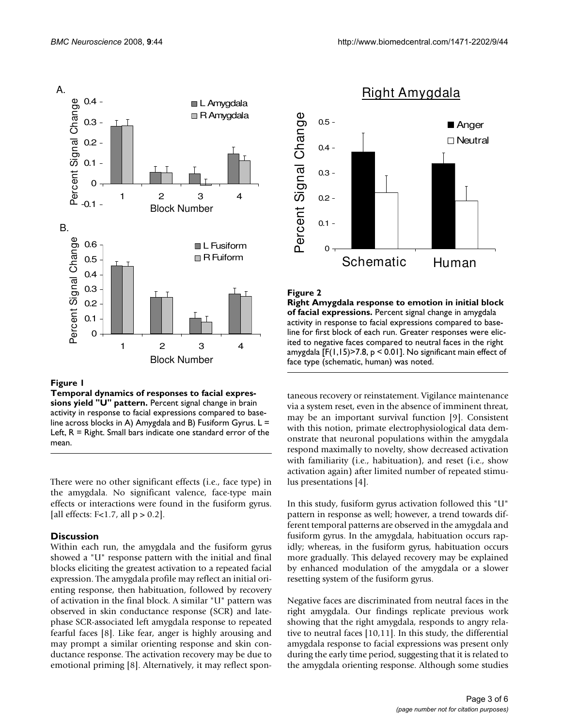

#### **Figure 1**

**Temporal dynamics of responses to facial expressions yield "U" pattern.** Percent signal change in brain activity in response to facial expressions compared to baseline across blocks in A) Amygdala and B) Fusiform Gyrus. L = Left,  $R =$  Right. Small bars indicate one standard error of the mean.

There were no other significant effects (i.e., face type) in the amygdala. No significant valence, face-type main effects or interactions were found in the fusiform gyrus. [all effects:  $F<1.7$ , all  $p > 0.2$ ].

#### **Discussion**

Within each run, the amygdala and the fusiform gyrus showed a "U" response pattern with the initial and final blocks eliciting the greatest activation to a repeated facial expression. The amygdala profile may reflect an initial orienting response, then habituation, followed by recovery of activation in the final block. A similar "U" pattern was observed in skin conductance response (SCR) and latephase SCR-associated left amygdala response to repeated fearful faces [8]. Like fear, anger is highly arousing and may prompt a similar orienting response and skin conductance response. The activation recovery may be due to emotional priming [8]. Alternatively, it may reflect spon-



#### **Figure 2**

**Right Amygdala response to emotion in initial block of facial expressions.** Percent signal change in amygdala activity in response to facial expressions compared to baseline for first block of each run. Greater responses were elicited to negative faces compared to neutral faces in the right amygdala [F(1,15)>7.8, p < 0.01]. No significant main effect of face type (schematic, human) was noted.

taneous recovery or reinstatement. Vigilance maintenance via a system reset, even in the absence of imminent threat, may be an important survival function [9]. Consistent with this notion, primate electrophysiological data demonstrate that neuronal populations within the amygdala respond maximally to novelty, show decreased activation with familiarity (i.e., habituation), and reset (i.e., show activation again) after limited number of repeated stimulus presentations [4].

In this study, fusiform gyrus activation followed this "U" pattern in response as well; however, a trend towards different temporal patterns are observed in the amygdala and fusiform gyrus. In the amygdala, habituation occurs rapidly; whereas, in the fusiform gyrus, habituation occurs more gradually. This delayed recovery may be explained by enhanced modulation of the amygdala or a slower resetting system of the fusiform gyrus.

Negative faces are discriminated from neutral faces in the right amygdala. Our findings replicate previous work showing that the right amygdala, responds to angry relative to neutral faces [10,11]. In this study, the differential amygdala response to facial expressions was present only during the early time period, suggesting that it is related to the amygdala orienting response. Although some studies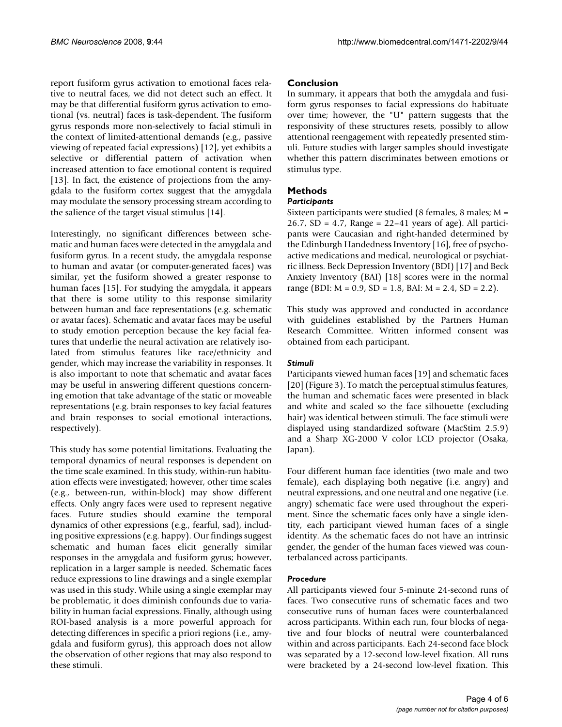report fusiform gyrus activation to emotional faces relative to neutral faces, we did not detect such an effect. It may be that differential fusiform gyrus activation to emotional (vs. neutral) faces is task-dependent. The fusiform gyrus responds more non-selectively to facial stimuli in the context of limited-attentional demands (e.g., passive viewing of repeated facial expressions) [12], yet exhibits a selective or differential pattern of activation when increased attention to face emotional content is required [13]. In fact, the existence of projections from the amygdala to the fusiform cortex suggest that the amygdala may modulate the sensory processing stream according to the salience of the target visual stimulus [14].

Interestingly, no significant differences between schematic and human faces were detected in the amygdala and fusiform gyrus. In a recent study, the amygdala response to human and avatar (or computer-generated faces) was similar, yet the fusiform showed a greater response to human faces [15]. For studying the amygdala, it appears that there is some utility to this response similarity between human and face representations (e.g. schematic or avatar faces). Schematic and avatar faces may be useful to study emotion perception because the key facial features that underlie the neural activation are relatively isolated from stimulus features like race/ethnicity and gender, which may increase the variability in responses. It is also important to note that schematic and avatar faces may be useful in answering different questions concerning emotion that take advantage of the static or moveable representations (e.g. brain responses to key facial features and brain responses to social emotional interactions, respectively).

This study has some potential limitations. Evaluating the temporal dynamics of neural responses is dependent on the time scale examined. In this study, within-run habituation effects were investigated; however, other time scales (e.g., between-run, within-block) may show different effects. Only angry faces were used to represent negative faces. Future studies should examine the temporal dynamics of other expressions (e.g., fearful, sad), including positive expressions (e.g. happy). Our findings suggest schematic and human faces elicit generally similar responses in the amygdala and fusiform gyrus; however, replication in a larger sample is needed. Schematic faces reduce expressions to line drawings and a single exemplar was used in this study. While using a single exemplar may be problematic, it does diminish confounds due to variability in human facial expressions. Finally, although using ROI-based analysis is a more powerful approach for detecting differences in specific a priori regions (i.e., amygdala and fusiform gyrus), this approach does not allow the observation of other regions that may also respond to these stimuli.

## **Conclusion**

In summary, it appears that both the amygdala and fusiform gyrus responses to facial expressions do habituate over time; however, the "U" pattern suggests that the responsivity of these structures resets, possibly to allow attentional reengagement with repeatedly presented stimuli. Future studies with larger samples should investigate whether this pattern discriminates between emotions or stimulus type.

## **Methods**

## *Participants*

Sixteen participants were studied (8 females, 8 males;  $M =$ 26.7, SD = 4.7, Range = 22–41 years of age). All participants were Caucasian and right-handed determined by the Edinburgh Handedness Inventory [16], free of psychoactive medications and medical, neurological or psychiatric illness. Beck Depression Inventory (BDI) [17] and Beck Anxiety Inventory (BAI) [18] scores were in the normal range (BDI:  $M = 0.9$ ,  $SD = 1.8$ , BAI:  $M = 2.4$ ,  $SD = 2.2$ ).

This study was approved and conducted in accordance with guidelines established by the Partners Human Research Committee. Written informed consent was obtained from each participant.

## *Stimuli*

Participants viewed human faces [19] and schematic faces [20] (Figure 3). To match the perceptual stimulus features, the human and schematic faces were presented in black and white and scaled so the face silhouette (excluding hair) was identical between stimuli. The face stimuli were displayed using standardized software (MacStim 2.5.9) and a Sharp XG-2000 V color LCD projector (Osaka, Japan).

Four different human face identities (two male and two female), each displaying both negative (i.e. angry) and neutral expressions, and one neutral and one negative (i.e. angry) schematic face were used throughout the experiment. Since the schematic faces only have a single identity, each participant viewed human faces of a single identity. As the schematic faces do not have an intrinsic gender, the gender of the human faces viewed was counterbalanced across participants.

## *Procedure*

All participants viewed four 5-minute 24-second runs of faces. Two consecutive runs of schematic faces and two consecutive runs of human faces were counterbalanced across participants. Within each run, four blocks of negative and four blocks of neutral were counterbalanced within and across participants. Each 24-second face block was separated by a 12-second low-level fixation. All runs were bracketed by a 24-second low-level fixation. This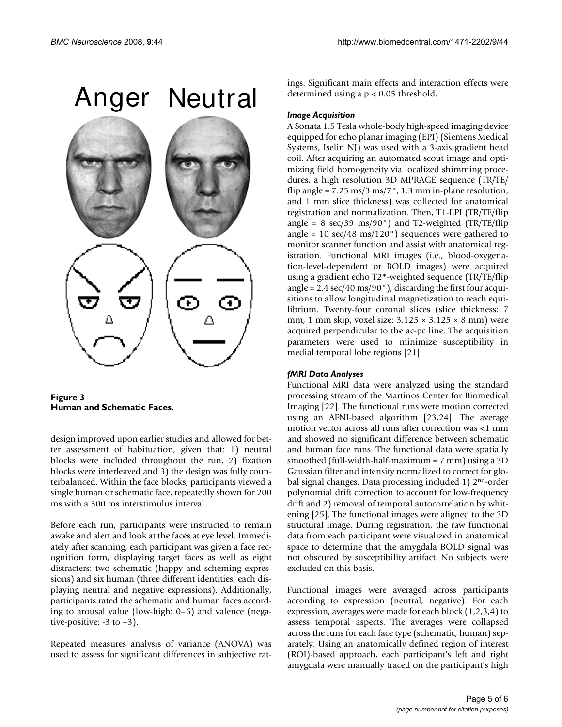

**Figure 3 Human and Schematic Faces.**

design improved upon earlier studies and allowed for better assessment of habituation, given that: 1) neutral blocks were included throughout the run, 2) fixation blocks were interleaved and 3) the design was fully counterbalanced. Within the face blocks, participants viewed a single human or schematic face, repeatedly shown for 200 ms with a 300 ms interstimulus interval.

Before each run, participants were instructed to remain awake and alert and look at the faces at eye level. Immediately after scanning, each participant was given a face recognition form, displaying target faces as well as eight distracters: two schematic (happy and scheming expressions) and six human (three different identities, each displaying neutral and negative expressions). Additionally, participants rated the schematic and human faces according to arousal value (low-high: 0–6) and valence (negative-positive:  $-3$  to  $+3$ ).

Repeated measures analysis of variance (ANOVA) was used to assess for significant differences in subjective ratings. Significant main effects and interaction effects were determined using a p < 0.05 threshold.

#### *Image Acquisition*

A Sonata 1.5 Tesla whole-body high-speed imaging device equipped for echo planar imaging (EPI) (Siemens Medical Systems, Iselin NJ) was used with a 3-axis gradient head coil. After acquiring an automated scout image and optimizing field homogeneity via localized shimming procedures, a high resolution 3D MPRAGE sequence (TR/TE/ flip angle =  $7.25 \text{ ms}/3 \text{ ms}/7^\circ$ , 1.3 mm in-plane resolution, and 1 mm slice thickness) was collected for anatomical registration and normalization. Then, T1-EPI (TR/TE/flip angle = 8 sec/39 ms/90 $^{\circ}$ ) and T2-weighted (TR/TE/flip angle =  $10 \text{ sec}/48 \text{ ms}/120^{\circ}$ ) sequences were gathered to monitor scanner function and assist with anatomical registration. Functional MRI images (i.e., blood-oxygenation-level-dependent or BOLD images) were acquired using a gradient echo T2\*-weighted sequence (TR/TE/flip angle =  $2.4 \text{ sec}/40 \text{ ms}/90^{\circ}$ , discarding the first four acquisitions to allow longitudinal magnetization to reach equilibrium. Twenty-four coronal slices (slice thickness: 7 mm, 1 mm skip, voxel size:  $3.125 \times 3.125 \times 8$  mm) were acquired perpendicular to the ac-pc line. The acquisition parameters were used to minimize susceptibility in medial temporal lobe regions [21].

#### *fMRI Data Analyses*

Functional MRI data were analyzed using the standard processing stream of the Martinos Center for Biomedical Imaging [22]. The functional runs were motion corrected using an AFNI-based algorithm [23,24]. The average motion vector across all runs after correction was <1 mm and showed no significant difference between schematic and human face runs. The functional data were spatially smoothed (full-width-half-maximum = 7 mm) using a 3D Gaussian filter and intensity normalized to correct for global signal changes. Data processing included 1) 2nd-order polynomial drift correction to account for low-frequency drift and 2) removal of temporal autocorrelation by whitening [25]. The functional images were aligned to the 3D structural image. During registration, the raw functional data from each participant were visualized in anatomical space to determine that the amygdala BOLD signal was not obscured by susceptibility artifact. No subjects were excluded on this basis.

Functional images were averaged across participants according to expression (neutral, negative). For each expression, averages were made for each block (1,2,3,4) to assess temporal aspects. The averages were collapsed across the runs for each face type (schematic, human) separately. Using an anatomically defined region of interest (ROI)-based approach, each participant's left and right amygdala were manually traced on the participant's high